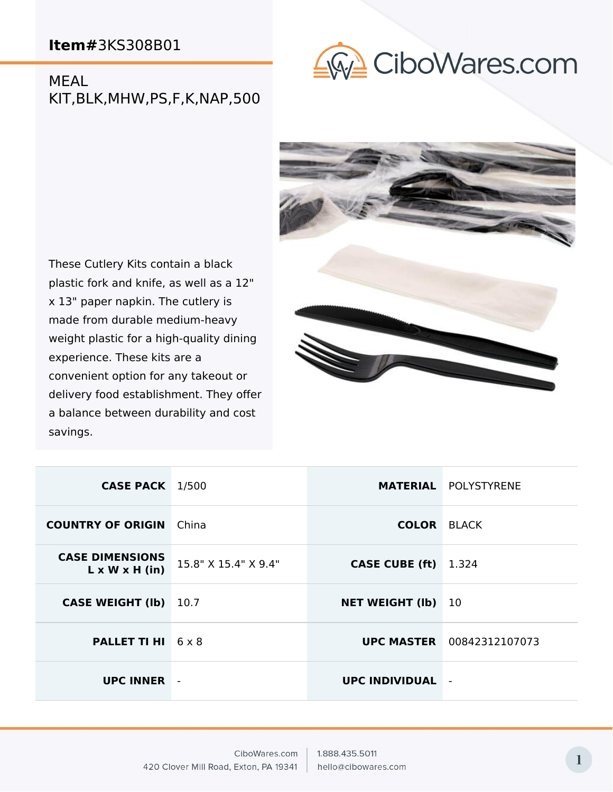MEAL KIT,BLK,MHW,PS,F,K,NAP,500



These Cutlery Kits contain a black plastic fork and knife, as well as a 12" x 13" paper napkin. The cutlery is made from durable medium-heavy weight plastic for a high-quality dining experience. These kits are a convenient option for any takeout or delivery food establishment. They offer a balance between durability and cost savings.



| <b>CASE PACK</b> 1/500                               |                      |                        | <b>MATERIAL POLYSTYRENE</b>      |
|------------------------------------------------------|----------------------|------------------------|----------------------------------|
| <b>COUNTRY OF ORIGIN</b> China                       |                      | <b>COLOR BLACK</b>     |                                  |
| <b>CASE DIMENSIONS</b><br>$L \times W \times H$ (in) | 15.8" X 15.4" X 9.4" | <b>CASE CUBE (ft)</b>  | 1.324                            |
| <b>CASE WEIGHT (Ib)</b>                              | 10.7                 | <b>NET WEIGHT (Ib)</b> | 10                               |
| <b>PALLET TI HI</b> 6 x 8                            |                      |                        | <b>UPC MASTER</b> 00842312107073 |
| <b>UPC INNER</b> -                                   |                      | UPC INDIVIDUAL         | $\blacksquare$                   |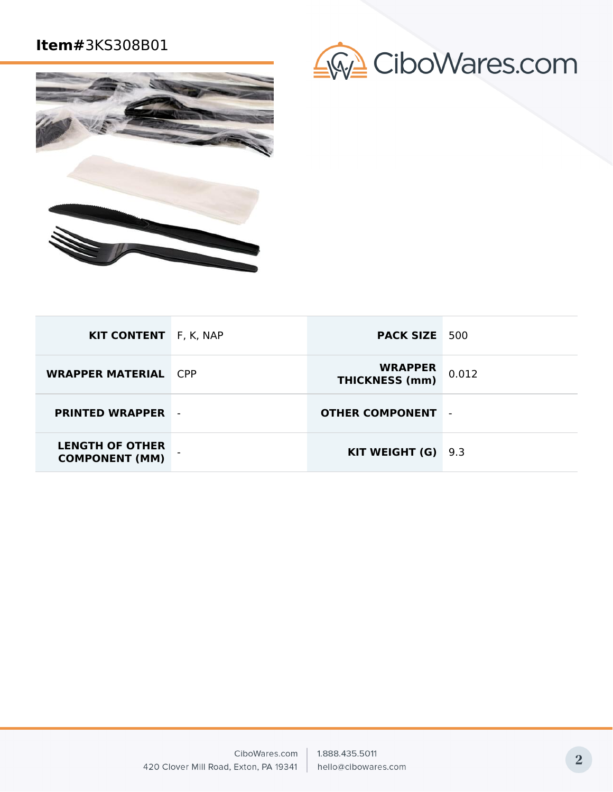



| <b>KIT CONTENT</b> F, K, NAP                    | <b>PACK SIZE</b> 500                    |                |
|-------------------------------------------------|-----------------------------------------|----------------|
| <b>WRAPPER MATERIAL CPP</b>                     | <b>WRAPPER</b><br><b>THICKNESS (mm)</b> | 0.012          |
| <b>PRINTED WRAPPER -</b>                        | <b>OTHER COMPONENT</b>                  | $\blacksquare$ |
| <b>LENGTH OF OTHER</b><br><b>COMPONENT (MM)</b> | <b>KIT WEIGHT (G)</b> $9.3$             |                |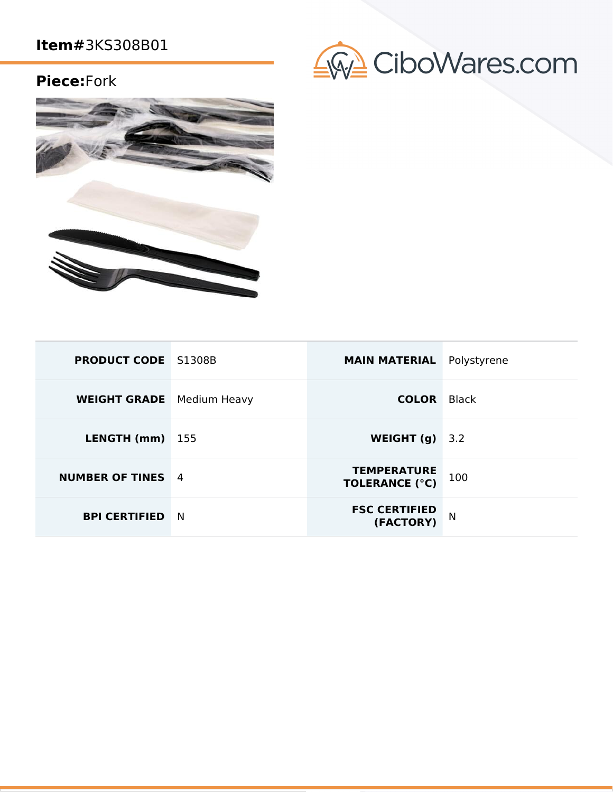### **Piece:**Fork



| <b>PRODUCT CODE</b> S1308B       |     | <b>MAIN MATERIAL</b>                        | Polystyrene |
|----------------------------------|-----|---------------------------------------------|-------------|
| <b>WEIGHT GRADE</b> Medium Heavy |     | <b>COLOR</b> Black                          |             |
| LENGTH (mm)                      | 155 | WEIGHT $(q)$                                | 3.2         |
| <b>NUMBER OF TINES</b> 4         |     | <b>TEMPERATURE</b><br><b>TOLERANCE (°C)</b> | 100         |
| <b>BPI CERTIFIED</b>             | - N | <b>FSC CERTIFIED</b><br>(FACTORY)           | N           |

# CiboWares.com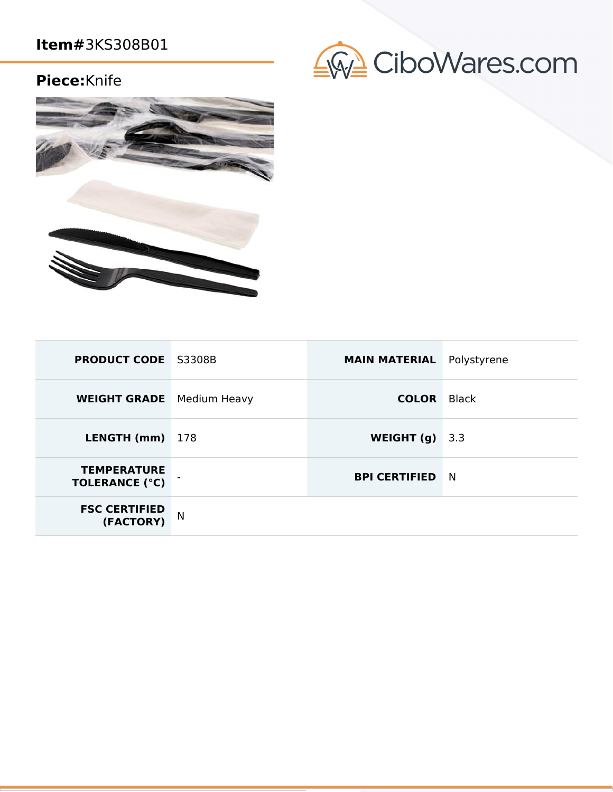## **Piece:**Knife



| <b>PRODUCT CODE</b> S3308B                  |     | <b>MAIN MATERIAL</b> | Polystyrene |
|---------------------------------------------|-----|----------------------|-------------|
| <b>WEIGHT GRADE</b> Medium Heavy            |     | <b>COLOR</b>         | Black       |
| LENGTH (mm)                                 | 178 | WEIGHT (g)           | 3.3         |
| <b>TEMPERATURE</b><br><b>TOLERANCE (°C)</b> |     | <b>BPI CERTIFIED</b> | <b>N</b>    |
| <b>FSC CERTIFIED</b><br>(FACTORY)           | N   |                      |             |